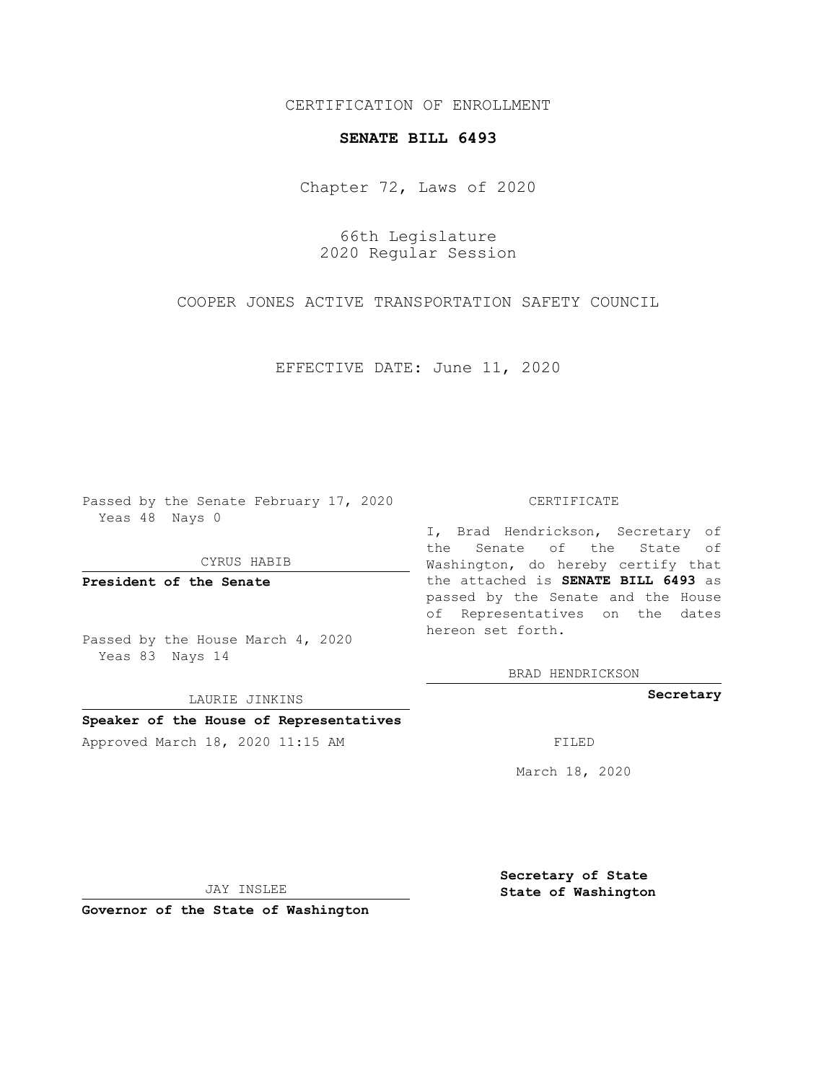CERTIFICATION OF ENROLLMENT

## **SENATE BILL 6493**

Chapter 72, Laws of 2020

66th Legislature 2020 Regular Session

COOPER JONES ACTIVE TRANSPORTATION SAFETY COUNCIL

EFFECTIVE DATE: June 11, 2020

Passed by the Senate February 17, 2020 Yeas 48 Nays 0

CYRUS HABIB

**President of the Senate**

Passed by the House March 4, 2020 Yeas 83 Nays 14

LAURIE JINKINS

## **Speaker of the House of Representatives**

Approved March 18, 2020 11:15 AM FILED

## CERTIFICATE

I, Brad Hendrickson, Secretary of the Senate of the State of Washington, do hereby certify that the attached is **SENATE BILL 6493** as passed by the Senate and the House of Representatives on the dates hereon set forth.

BRAD HENDRICKSON

**Secretary**

March 18, 2020

JAY INSLEE

**Governor of the State of Washington**

**Secretary of State State of Washington**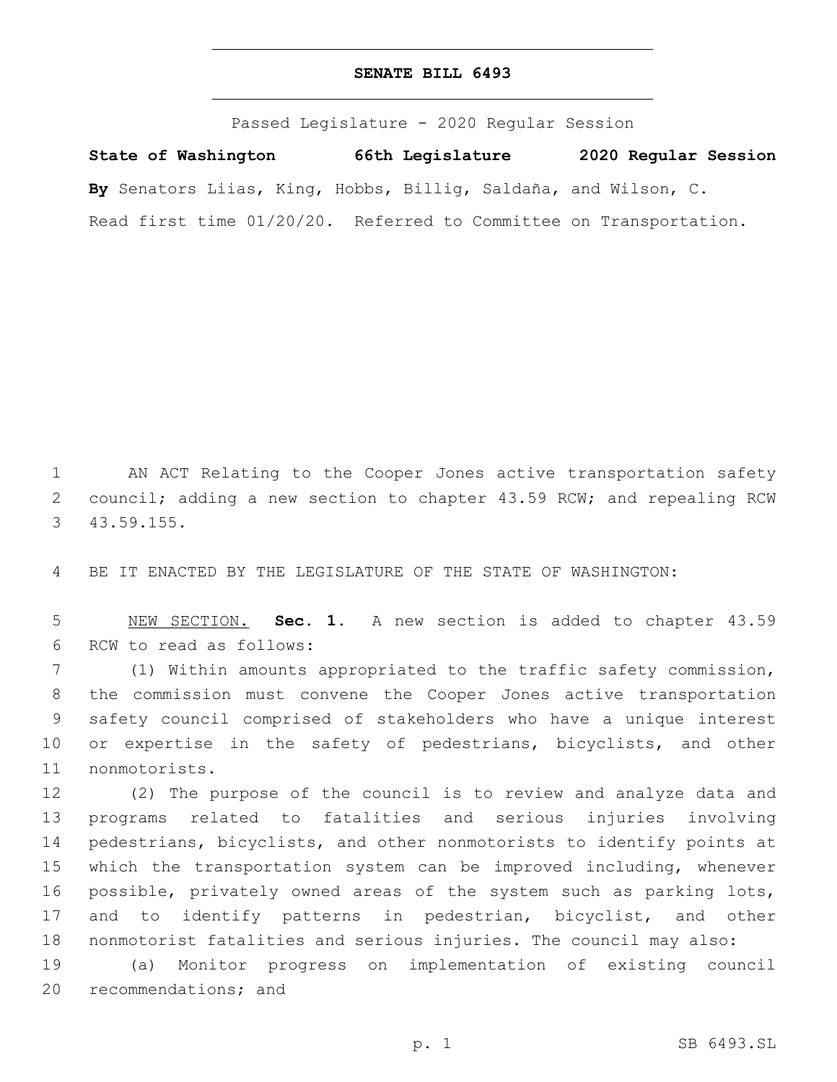## **SENATE BILL 6493**

Passed Legislature - 2020 Regular Session

**State of Washington 66th Legislature 2020 Regular Session By** Senators Liias, King, Hobbs, Billig, Saldaña, and Wilson, C. Read first time 01/20/20. Referred to Committee on Transportation.

1 AN ACT Relating to the Cooper Jones active transportation safety 2 council; adding a new section to chapter 43.59 RCW; and repealing RCW 43.59.155.3

4 BE IT ENACTED BY THE LEGISLATURE OF THE STATE OF WASHINGTON:

5 NEW SECTION. **Sec. 1.** A new section is added to chapter 43.59 6 RCW to read as follows:

7 (1) Within amounts appropriated to the traffic safety commission, 8 the commission must convene the Cooper Jones active transportation 9 safety council comprised of stakeholders who have a unique interest 10 or expertise in the safety of pedestrians, bicyclists, and other 11 nonmotorists.

 (2) The purpose of the council is to review and analyze data and programs related to fatalities and serious injuries involving pedestrians, bicyclists, and other nonmotorists to identify points at which the transportation system can be improved including, whenever possible, privately owned areas of the system such as parking lots, 17 and to identify patterns in pedestrian, bicyclist, and other nonmotorist fatalities and serious injuries. The council may also:

19 (a) Monitor progress on implementation of existing council 20 recommendations; and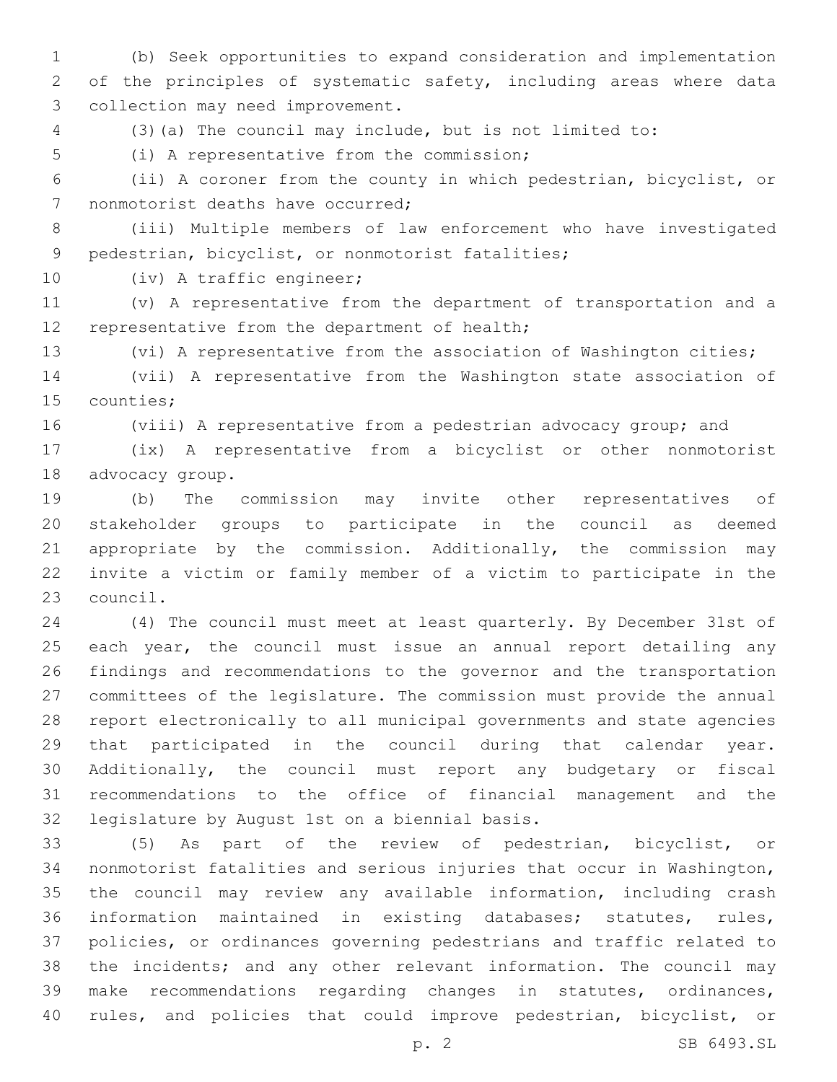(b) Seek opportunities to expand consideration and implementation of the principles of systematic safety, including areas where data 3 collection may need improvement.

(3)(a) The council may include, but is not limited to:

5 (i) A representative from the commission;

 (ii) A coroner from the county in which pedestrian, bicyclist, or 7 nonmotorist deaths have occurred;

 (iii) Multiple members of law enforcement who have investigated 9 pedestrian, bicyclist, or nonmotorist fatalities;

10 (iv) A traffic engineer;

 (v) A representative from the department of transportation and a 12 representative from the department of health;

(vi) A representative from the association of Washington cities;

 (vii) A representative from the Washington state association of 15 counties;

(viii) A representative from a pedestrian advocacy group; and

 (ix) A representative from a bicyclist or other nonmotorist 18 advocacy group.

 (b) The commission may invite other representatives of stakeholder groups to participate in the council as deemed appropriate by the commission. Additionally, the commission may invite a victim or family member of a victim to participate in the 23 council.

 (4) The council must meet at least quarterly. By December 31st of each year, the council must issue an annual report detailing any findings and recommendations to the governor and the transportation committees of the legislature. The commission must provide the annual report electronically to all municipal governments and state agencies that participated in the council during that calendar year. Additionally, the council must report any budgetary or fiscal recommendations to the office of financial management and the 32 legislature by August 1st on a biennial basis.

 (5) As part of the review of pedestrian, bicyclist, or nonmotorist fatalities and serious injuries that occur in Washington, the council may review any available information, including crash information maintained in existing databases; statutes, rules, policies, or ordinances governing pedestrians and traffic related to the incidents; and any other relevant information. The council may make recommendations regarding changes in statutes, ordinances, rules, and policies that could improve pedestrian, bicyclist, or

p. 2 SB 6493.SL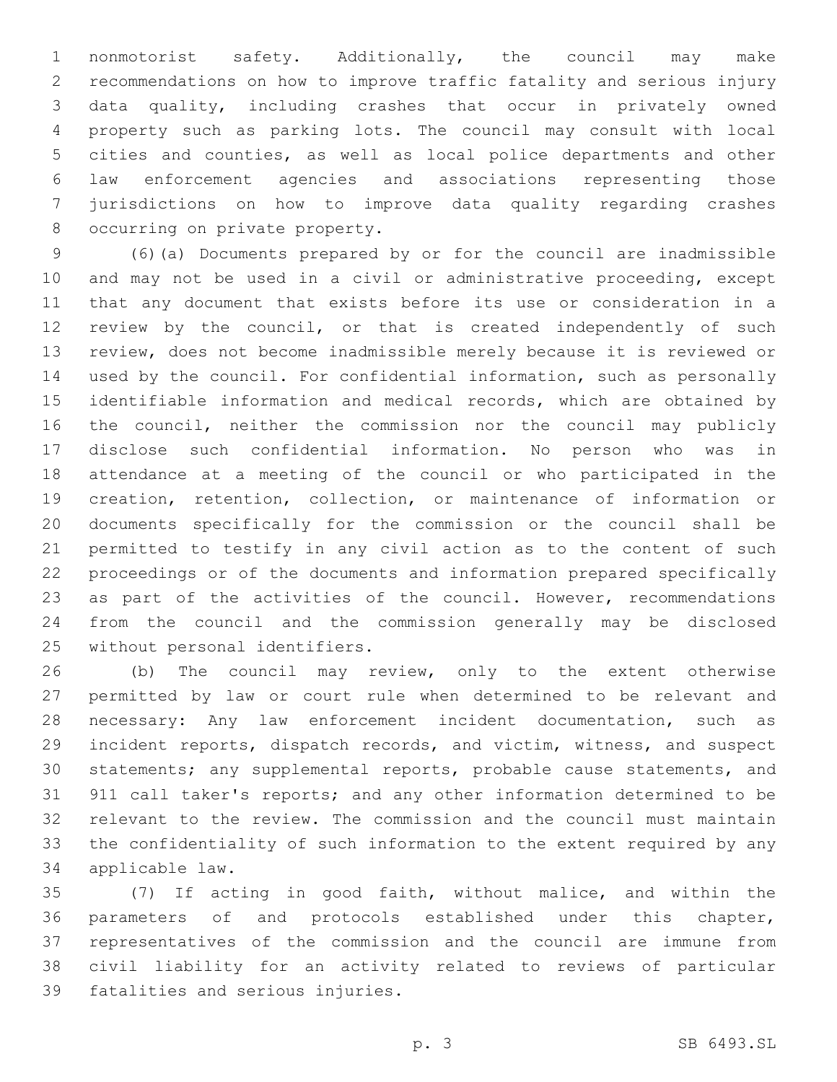nonmotorist safety. Additionally, the council may make recommendations on how to improve traffic fatality and serious injury data quality, including crashes that occur in privately owned property such as parking lots. The council may consult with local cities and counties, as well as local police departments and other law enforcement agencies and associations representing those jurisdictions on how to improve data quality regarding crashes 8 occurring on private property.

 (6)(a) Documents prepared by or for the council are inadmissible and may not be used in a civil or administrative proceeding, except that any document that exists before its use or consideration in a review by the council, or that is created independently of such review, does not become inadmissible merely because it is reviewed or used by the council. For confidential information, such as personally identifiable information and medical records, which are obtained by the council, neither the commission nor the council may publicly disclose such confidential information. No person who was in attendance at a meeting of the council or who participated in the creation, retention, collection, or maintenance of information or documents specifically for the commission or the council shall be permitted to testify in any civil action as to the content of such proceedings or of the documents and information prepared specifically 23 as part of the activities of the council. However, recommendations from the council and the commission generally may be disclosed 25 without personal identifiers.

 (b) The council may review, only to the extent otherwise permitted by law or court rule when determined to be relevant and necessary: Any law enforcement incident documentation, such as incident reports, dispatch records, and victim, witness, and suspect statements; any supplemental reports, probable cause statements, and 911 call taker's reports; and any other information determined to be relevant to the review. The commission and the council must maintain the confidentiality of such information to the extent required by any applicable law.34

 (7) If acting in good faith, without malice, and within the parameters of and protocols established under this chapter, representatives of the commission and the council are immune from civil liability for an activity related to reviews of particular 39 fatalities and serious injuries.